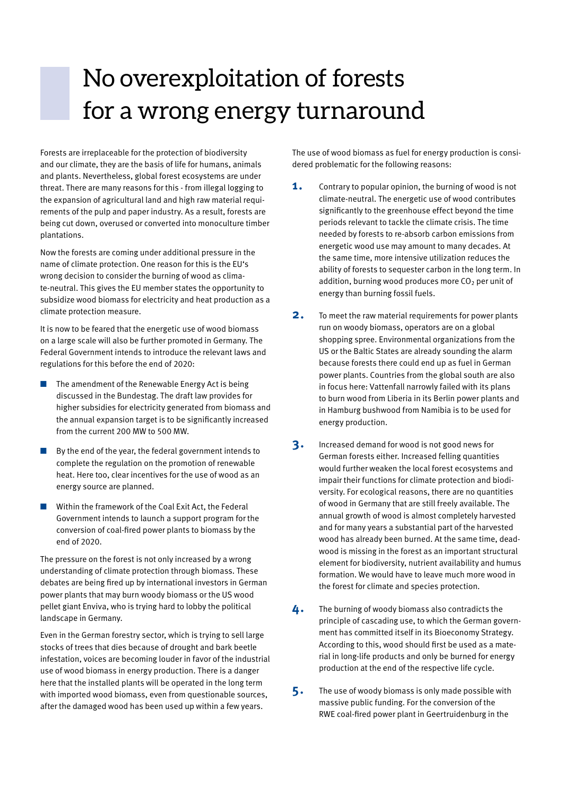## No overexploitation of forests for a wrong energy turnaround

Forests are irreplaceable for the protection of biodiversity and our climate, they are the basis of life for humans, animals and plants. Nevertheless, global forest ecosystems are under threat. There are many reasons for this - from illegal logging to the expansion of agricultural land and high raw material requirements of the pulp and paper industry. As a result, forests are being cut down, overused or converted into monoculture timber plantations.

Now the forests are coming under additional pressure in the name of climate protection. One reason for this is the EU's wrong decision to consider the burning of wood as climate-neutral. This gives the EU member states the opportunity to subsidize wood biomass for electricity and heat production as a climate protection measure.

It is now to be feared that the energetic use of wood biomass on a large scale will also be further promoted in Germany. The Federal Government intends to introduce the relevant laws and regulations for this before the end of 2020:

- The amendment of the Renewable Energy Act is being discussed in the Bundestag. The draft law provides for higher subsidies for electricity generated from biomass and the annual expansion target is to be significantly increased from the current 200 MW to 500 MW.
- $\blacksquare$  By the end of the year, the federal government intends to complete the regulation on the promotion of renewable heat. Here too, clear incentives for the use of wood as an energy source are planned.
- Within the framework of the Coal Exit Act, the Federal Government intends to launch a support program for the conversion of coal-fired power plants to biomass by the end of 2020.

The pressure on the forest is not only increased by a wrong understanding of climate protection through biomass. These debates are being fired up by international investors in German power plants that may burn woody biomass or the US wood pellet giant Enviva, who is trying hard to lobby the political landscape in Germany.

Even in the German forestry sector, which is trying to sell large stocks of trees that dies because of drought and bark beetle infestation, voices are becoming louder in favor of the industrial use of wood biomass in energy production. There is a danger here that the installed plants will be operated in the long term with imported wood biomass, even from questionable sources, after the damaged wood has been used up within a few years.

The use of wood biomass as fuel for energy production is considered problematic for the following reasons:

- **1.** Contrary to popular opinion, the burning of wood is not climate-neutral. The energetic use of wood contributes significantly to the greenhouse effect beyond the time periods relevant to tackle the climate crisis. The time needed by forests to re-absorb carbon emissions from energetic wood use may amount to many decades. At the same time, more intensive utilization reduces the ability of forests to sequester carbon in the long term. In addition, burning wood produces more  $CO<sub>2</sub>$  per unit of energy than burning fossil fuels.
- **2.** To meet the raw material requirements for power plants run on woody biomass, operators are on a global shopping spree. Environmental organizations from the US or the Baltic States are already sounding the alarm because forests there could end up as fuel in German power plants. Countries from the global south are also in focus here: Vattenfall narrowly failed with its plans to burn wood from Liberia in its Berlin power plants and in Hamburg bushwood from Namibia is to be used for energy production.
- **3.** Increased demand for wood is not good news for German forests either. Increased felling quantities would further weaken the local forest ecosystems and impair their functions for climate protection and biodiversity. For ecological reasons, there are no quantities of wood in Germany that are still freely available. The annual growth of wood is almost completely harvested and for many years a substantial part of the harvested wood has already been burned. At the same time, deadwood is missing in the forest as an important structural element for biodiversity, nutrient availability and humus formation. We would have to leave much more wood in the forest for climate and species protection.
- **4.** The burning of woody biomass also contradicts the principle of cascading use, to which the German government has committed itself in its Bioeconomy Strategy. According to this, wood should first be used as a material in long-life products and only be burned for energy production at the end of the respective life cycle.
- **5.** The use of woody biomass is only made possible with massive public funding. For the conversion of the RWE coal-fired power plant in Geertruidenburg in the